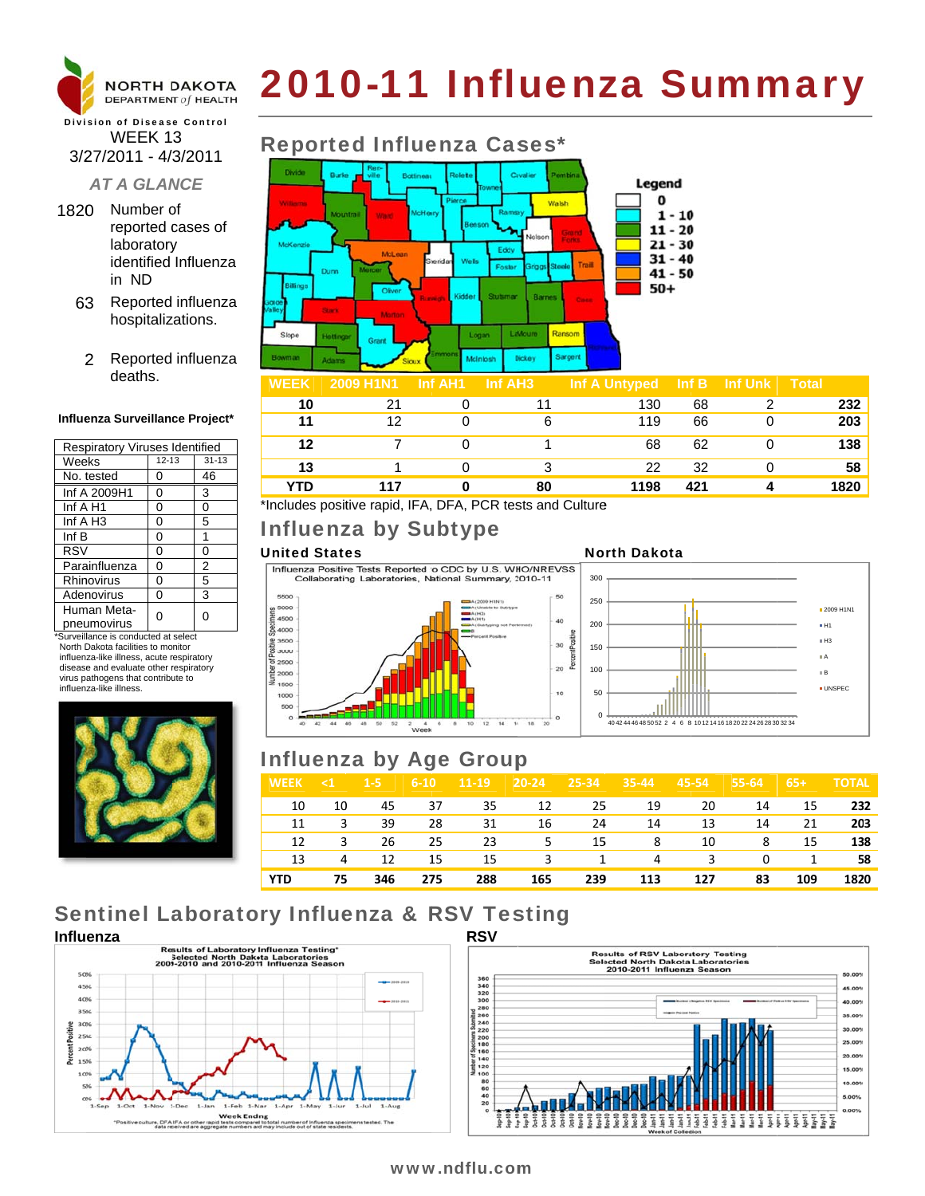

# 2010-11 Influenza Summary

### **Division of Disease Control** WEEK 13 3/27/2011 - 4/3/2011

### **AT A GLANCE**

- 1820 Number of reported cases of laboratory identified Influenza in ND
	- 63 Reported influenza hospitalizations.
		- 2 Reported influenza deaths.

### Influenza Surveillance Project\*

| <b>Respiratory Viruses Identified</b> |           |           |  |  |  |  |
|---------------------------------------|-----------|-----------|--|--|--|--|
| Weeks                                 | $12 - 13$ | $31 - 13$ |  |  |  |  |
| No. tested                            | ი         | 46        |  |  |  |  |
| Inf A 2009H1                          | 0         | 3         |  |  |  |  |
| Inf A H1                              | 0         | 0         |  |  |  |  |
| Inf $A$ H <sub>3</sub>                | 0         | 5         |  |  |  |  |
| Inf B                                 | 0         | 1         |  |  |  |  |
| <b>RSV</b>                            | 0         | 0         |  |  |  |  |
| Parainfluenza                         | 0         | 2         |  |  |  |  |
| Rhinovirus                            | 0         | 5         |  |  |  |  |
| Adenovirus                            | 0         | 3         |  |  |  |  |
| Human Meta-<br>pneumovirus            |           | 0         |  |  |  |  |

\*Surveillance is conducted at select North Dakota facilities to monitor influenza-like illness, acute respiratory disease and evaluate other respiratory virus pathogens that contribute to influenza-like illness



## **Reported Influenza Cases\***



| WFFK    | <b>2009 H1N1</b> | ⊟nt AH1 I | - Inf AH3 | Inf A Untvbed | ାnf B | ⊟nf ∪nk i | ⊣otal |
|---------|------------------|-----------|-----------|---------------|-------|-----------|-------|
| 10      |                  |           |           | 130           | 68    |           | 232   |
| 11      | 12               |           |           | 119           | 66    |           | 203   |
| $12 \,$ |                  |           |           | 68            | 62    |           | 138   |
| 13      |                  |           |           | 22            | 32    |           | 58    |
| YTD     | 117              |           | 80        | 1198          | 421   |           | 1820  |

\*Includes positive rapid, IFA, DFA, PCR tests and Culture

# Influenza by Subtype

### **United States**

Influenza Positive Tests Reported to CDC by U.S. WHO/NREVSS Collaborating Laboratories, National Summary, 2010-11







# **Influenza by Age Group**

| <b>WEEK</b> | $\leq 1$ | $1-5$ | $6 - 10$ | $11-19$ | $20 - 24$ | $\sqrt{25-34}$ | $35 - 44$      | 45-54 | 55-64    | $65+$ | <b>TOTAL</b> |
|-------------|----------|-------|----------|---------|-----------|----------------|----------------|-------|----------|-------|--------------|
| 10          | 10       | 45    | 37       | 35      | 12        | 25             | 19             | 20    | 14       | 15    | 232          |
| 11          | 3        | 39    | 28       | 31      | 16        | 24             | 14             | 13    | 14       | 21    | 203          |
| 12          | 3        | 26    | 25       | 23      | 5         | 15             | 8              | 10    | -8       | 15    | 138          |
| 13          | 4        | 12    | 15       | 15      | 3         | 1              | $\overline{4}$ | 3     | $\Omega$ | 1     | 58           |
| <b>YTD</b>  | 75       | 346   | 275      | 288     | 165       | 239            | 113            | 127   | 83       | 109   | 1820         |

# **Sentinel Laboratory Influenza & RSV Testing**